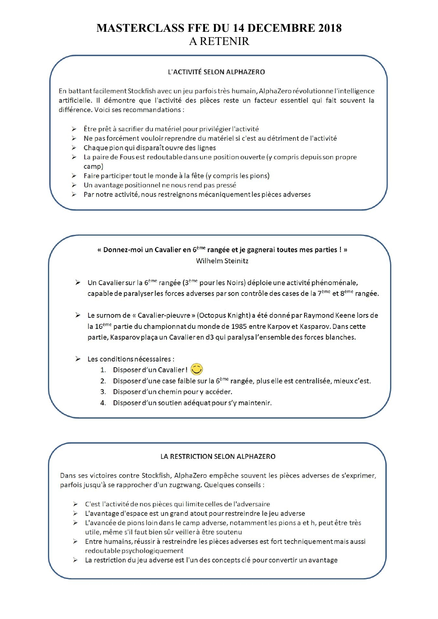# **MASTERCLASS FFE DU 14 DECEMBRE 2018 A RETENIR**

#### L'ACTIVITÉ SELON ALPHAZERO

En battant facilement Stockfish avec un jeu parfois très humain, AlphaZero révolutionne l'intelligence artificielle. Il démontre que l'activité des pièces reste un facteur essentiel qui fait souvent la différence. Voici ses recommandations :

- > Être prêt à sacrifier du matériel pour privilégier l'activité
- > Ne pas forcément vouloir reprendre du matériel si c'est au détriment de l'activité
- $\triangleright$  Chaque pion qui disparaît ouvre des lignes
- $\triangleright$  La paire de Fous est redoutable dans une position ouverte (y compris depuis son propre camp)
- > Faire participer tout le monde à la fête (y compris les pions)
- $\triangleright$  Un avantage positionnel ne nous rend pas pressé
- $\triangleright$  Par notre activité, nous restreignons mécaniquement les pièces adverses

#### « Donnez-moi un Cavalier en 6<sup>ème</sup> rangée et je gagnerai toutes mes parties ! » **Wilhelm Steinitz**

- > Un Cavalier sur la  $6^{eme}$  rangée  $(3^{eme}$  pour les Noirs) déploie une activité phénoménale, capable de paralyser les forces adverses par son contrôle des cases de la 7<sup>ème</sup> et 8<sup>ème</sup> rangée.
- E Le surnom de « Cavalier-pieuvre » (Octopus Knight) a été donné par Raymond Keene lors de la 16<sup>ème</sup> partie du championnat du monde de 1985 entre Karpov et Kasparov. Dans cette partie, Kasparov plaça un Cavalier en d3 qui paralysa l'ensemble des forces blanches.
- $\triangleright$  Les conditions nécessaires :
	- 1. Disposer d'un Cavalier!
	- 2. Disposer d'une case faible sur la 6<sup>ème</sup> rangée, plus elle est centralisée, mieux c'est.
	- 3. Disposer d'un chemin pour y accéder.
	- 4. Disposer d'un soutien adéquat pour s'y maintenir.

#### LA RESTRICTION SELON ALPHAZERO

Dans ses victoires contre Stockfish, AlphaZero empêche souvent les pièces adverses de s'exprimer, parfois jusqu'à se rapprocher d'un zugzwang. Quelques conseils :

- > C'est l'activité de nos pièces qui limite celles de l'adversaire
- > L'avantage d'espace est un grand atout pour restreindre le jeu adverse
- > L'avancée de pions loin dans le camp adverse, notamment les pions a et h, peut être très utile, même s'il faut bien sûr veiller à être soutenu
- $\triangleright$  Entre humains, réussir à restreindre les pièces adverses est fort techniquement mais aussi redoutable psychologiquement
- > La restriction du jeu adverse est l'un des concepts clé pour convertir un avantage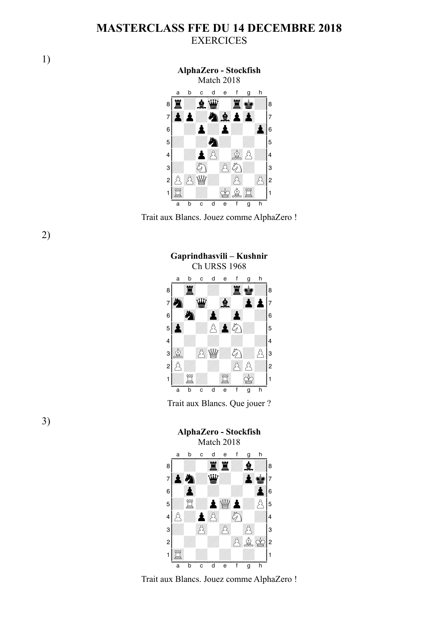## **MASTERCLASS FFE DU 14 DECEMBRE 2018 EXERCICES**





**Gaprindhasvili – Kushnir**

2)



Trait aux Blancs. Que jouer ?

#### **AlphaZero - Stockfish** Match 2018



Trait aux Blancs. Jouez comme AlphaZero !

3)